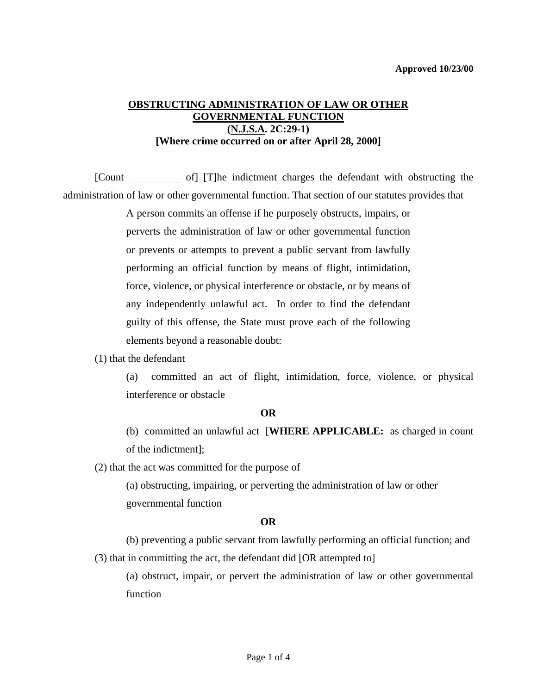# **OBSTRUCTING ADMINISTRATION OF LAW OR OTHER GOVERNMENTAL FUNCTION (N.J.S.A. 2C:29-1) [Where crime occurred on or after April 28, 2000]**

[Count of] [T]he indictment charges the defendant with obstructing the administration of law or other governmental function. That section of our statutes provides that

> A person commits an offense if he purposely obstructs, impairs, or perverts the administration of law or other governmental function or prevents or attempts to prevent a public servant from lawfully performing an official function by means of flight, intimidation, force, violence, or physical interference or obstacle, or by means of any independently unlawful act. In order to find the defendant guilty of this offense, the State must prove each of the following elements beyond a reasonable doubt:

#### (1) that the defendant

(a) committed an act of flight, intimidation, force, violence, or physical interference or obstacle

#### **OR**

(b) committed an unlawful act [**WHERE APPLICABLE:** as charged in count of the indictment];

(2) that the act was committed for the purpose of

 (a) obstructing, impairing, or perverting the administration of law or other governmental function

### **OR**

<span id="page-0-0"></span> (b) preventing a public servant from lawfully performing an official function; and (3) that in committing the act, the defendant did [OR attempted to]

(a) obstruct, impair, or pervert the administration of law or other governmental function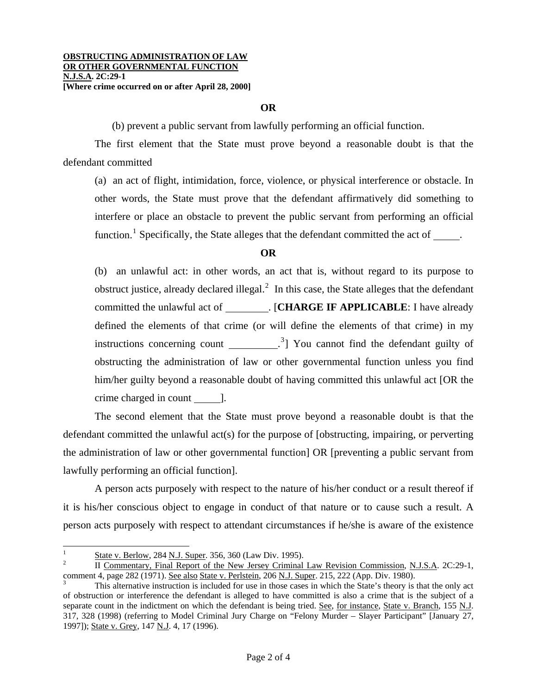### **OR**

(b) prevent a public servant from lawfully performing an official function.

 The first element that the State must prove beyond a reasonable doubt is that the defendant committed

(a) an act of flight, intimidation, force, violence, or physical interference or obstacle. In other words, the State must prove that the defendant affirmatively did something to interfere or place an obstacle to prevent the public servant from performing an official function.<sup>[1](#page-0-0)</sup> Specifically, the State alleges that the defendant committed the act of  $\qquad$ .

## **OR**

(b) an unlawful act: in other words, an act that is, without regard to its purpose to obstruct justice, already declared illegal. $<sup>2</sup>$  $<sup>2</sup>$  $<sup>2</sup>$  In this case, the State alleges that the defendant</sup> committed the unlawful act of \_\_\_\_\_\_\_\_. [CHARGE IF APPLICABLE: I have already defined the elements of that crime (or will define the elements of that crime) in my instructions concerning count  $\frac{3}{2}$  $\frac{3}{2}$  $\frac{3}{2}$  You cannot find the defendant guilty of obstructing the administration of law or other governmental function unless you find him/her guilty beyond a reasonable doubt of having committed this unlawful act [OR the crime charged in count  $\qquad$ .

 The second element that the State must prove beyond a reasonable doubt is that the defendant committed the unlawful act(s) for the purpose of [obstructing, impairing, or perverting the administration of law or other governmental function] OR [preventing a public servant from lawfully performing an official function].

 A person acts purposely with respect to the nature of his/her conduct or a result thereof if it is his/her conscious object to engage in conduct of that nature or to cause such a result. A person acts purposely with respect to attendant circumstances if he/she is aware of the existence

 $\overline{\phantom{a}}$ 

<sup>1</sup> State v. Berlow, 284 N.J. Super. 356, 360 (Law Div. 1995).

<span id="page-1-2"></span><span id="page-1-0"></span>II Commentary, Final Report of the New Jersey Criminal Law Revision Commission, N.J.S.A. 2C:29-1, comment 4, page 282 (1971). See also State v. Perlstein, 206 N.J. Super. 215, 222 (App. Div. 1980).

<span id="page-1-1"></span>This alternative instruction is included for use in those cases in which the State's theory is that the only act of obstruction or interference the defendant is alleged to have committed is also a crime that is the subject of a separate count in the indictment on which the defendant is being tried. See, for instance, State v. Branch, 155 N.J. 317, 328 (1998) (referring to Model Criminal Jury Charge on "Felony Murder – Slayer Participant" [January 27, 1997]); State v. Grey, 147 N.J. 4, 17 (1996).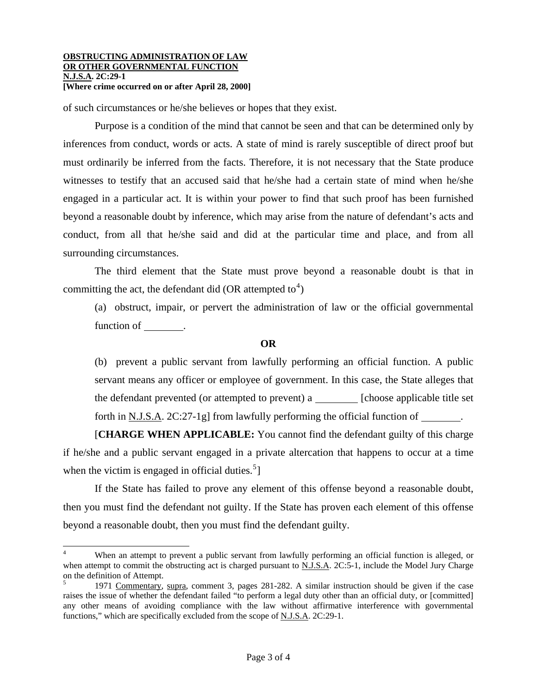#### **OBSTRUCTING ADMINISTRATION OF LAW OR OTHER GOVERNMENTAL FUNCTION N.J.S.A. 2C:29-1 [Where crime occurred on or after April 28, 2000]**

 $\overline{\phantom{a}}$ 

of such circumstances or he/she believes or hopes that they exist.

 Purpose is a condition of the mind that cannot be seen and that can be determined only by inferences from conduct, words or acts. A state of mind is rarely susceptible of direct proof but must ordinarily be inferred from the facts. Therefore, it is not necessary that the State produce witnesses to testify that an accused said that he/she had a certain state of mind when he/she engaged in a particular act. It is within your power to find that such proof has been furnished beyond a reasonable doubt by inference, which may arise from the nature of defendant's acts and conduct, from all that he/she said and did at the particular time and place, and from all surrounding circumstances.

 The third element that the State must prove beyond a reasonable doubt is that in committing the act, the defendant did (OR attempted to<sup>[4](#page-1-2)</sup>)

(a) obstruct, impair, or pervert the administration of law or the official governmental function of \_\_\_\_\_\_\_\_.

### **OR**

(b) prevent a public servant from lawfully performing an official function. A public servant means any officer or employee of government. In this case, the State alleges that the defendant prevented (or attempted to prevent) a  $\Box$  [choose applicable title set forth in <u>N.J.S.A.</u> 2C:27-1g] from lawfully performing the official function of \_\_\_\_\_\_\_.

 [**CHARGE WHEN APPLICABLE:** You cannot find the defendant guilty of this charge if he/she and a public servant engaged in a private altercation that happens to occur at a time when the victim is engaged in official duties.<sup>[5](#page-2-0)</sup>]

 If the State has failed to prove any element of this offense beyond a reasonable doubt, then you must find the defendant not guilty. If the State has proven each element of this offense beyond a reasonable doubt, then you must find the defendant guilty.

<sup>4</sup> When an attempt to prevent a public servant from lawfully performing an official function is alleged, or when attempt to commit the obstructing act is charged pursuant to N.J.S.A. 2C:5-1, include the Model Jury Charge on the definition of Attempt.

<span id="page-2-0"></span><sup>5</sup> 1971 Commentary, supra, comment 3, pages 281-282. A similar instruction should be given if the case raises the issue of whether the defendant failed "to perform a legal duty other than an official duty, or [committed] any other means of avoiding compliance with the law without affirmative interference with governmental functions," which are specifically excluded from the scope of N.J.S.A. 2C:29-1.